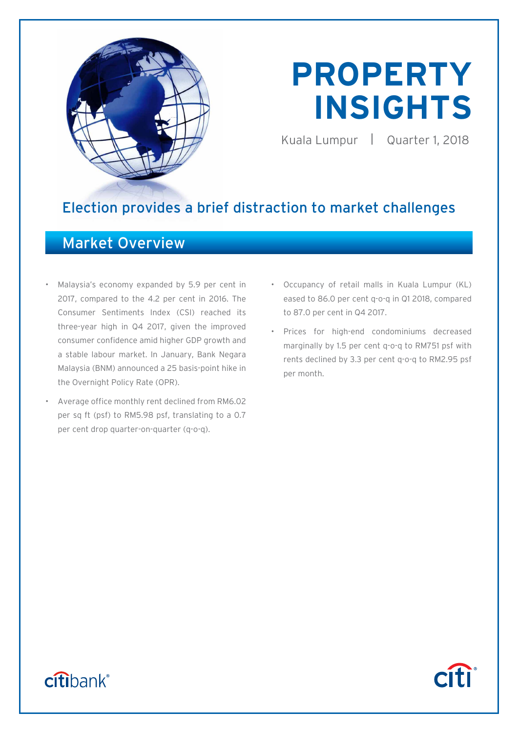

# **PROPERTY INSIGHTS**

Kuala Lumpur | Quarter 1, 2018

**Citi** 

# Election provides a brief distraction to market challenges

# Market Overview

- Malaysia's economy expanded by 5.9 per cent in 2017, compared to the 4.2 per cent in 2016. The Consumer Sentiments Index (CSI) reached its three-year high in Q4 2017, given the improved consumer confidence amid higher GDP growth and a stable labour market. In January, Bank Negara Malaysia (BNM) announced a 25 basis-point hike in the Overnight Policy Rate (OPR).
- Average office monthly rent declined from RM6.02 per sq ft (psf) to RM5.98 psf, translating to a 0.7 per cent drop quarter-on-quarter (q-o-q).
- Occupancy of retail malls in Kuala Lumpur (KL) eased to 86.0 per cent q-o-q in Q1 2018, compared to 87.0 per cent in Q4 2017.
- Prices for high-end condominiums decreased marginally by 1.5 per cent q-o-q to RM751 psf with rents declined by 3.3 per cent q-o-q to RM2.95 psf per month.

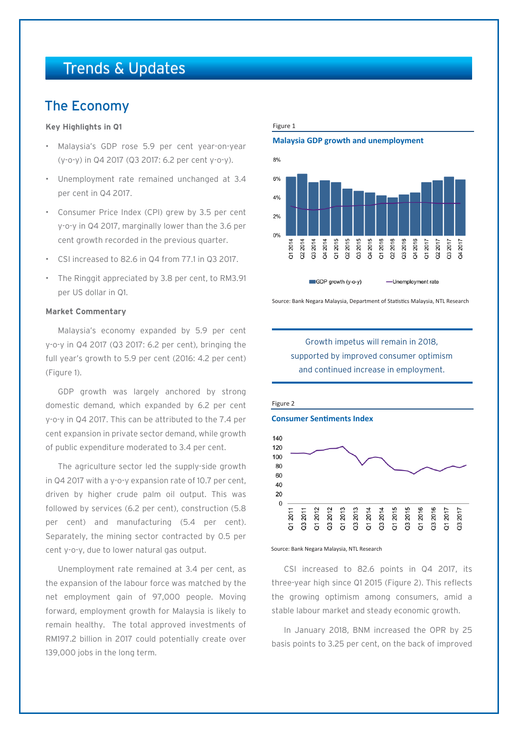# Trends & Updates

# The Economy

# **Key Highlights in Q1**

- Malaysia's GDP rose 5.9 per cent year-on-year (y-o-y) in Q4 2017 (Q3 2017: 6.2 per cent y-o-y).
- Unemployment rate remained unchanged at 3.4 per cent in Q4 2017.
- Consumer Price Index (CPI) grew by 3.5 per cent y-o-y in Q4 2017, marginally lower than the 3.6 per cent growth recorded in the previous quarter.
- CSI increased to 82.6 in Q4 from 77.1 in Q3 2017.
- The Ringgit appreciated by 3.8 per cent, to RM3.91 per US dollar in Q1.

# **Market Commentary**

Malaysia's economy expanded by 5.9 per cent y-o-y in Q4 2017 (Q3 2017: 6.2 per cent), bringing the full year's growth to 5.9 per cent (2016: 4.2 per cent) (Figure 1).

GDP growth was largely anchored by strong domestic demand, which expanded by 6.2 per cent y-o-y in Q4 2017. This can be attributed to the 7.4 per cent expansion in private sector demand, while growth of public expenditure moderated to 3.4 per cent.

The agriculture sector led the supply-side growth in Q4 2017 with a y-o-y expansion rate of 10.7 per cent, driven by higher crude palm oil output. This was followed by services (6.2 per cent), construction (5.8 per cent) and manufacturing (5.4 per cent). Separately, the mining sector contracted by 0.5 per cent y-o-y, due to lower natural gas output.

Unemployment rate remained at 3.4 per cent, as the expansion of the labour force was matched by the net employment gain of 97,000 people. Moving forward, employment growth for Malaysia is likely to remain healthy. The total approved investments of RM197.2 billion in 2017 could potentially create over 139,000 jobs in the long term.

Figure 1

**Malaysia GDP growth and unemployment**



Source: Bank Negara Malaysia, Department of Statistics Malaysia, NTL Research







CSI increased to 82.6 points in Q4 2017, its three-year high since Q1 2015 (Figure 2). This reflects the growing optimism among consumers, amid a stable labour market and steady economic growth.

In January 2018, BNM increased the OPR by 25 basis points to 3.25 per cent, on the back of improved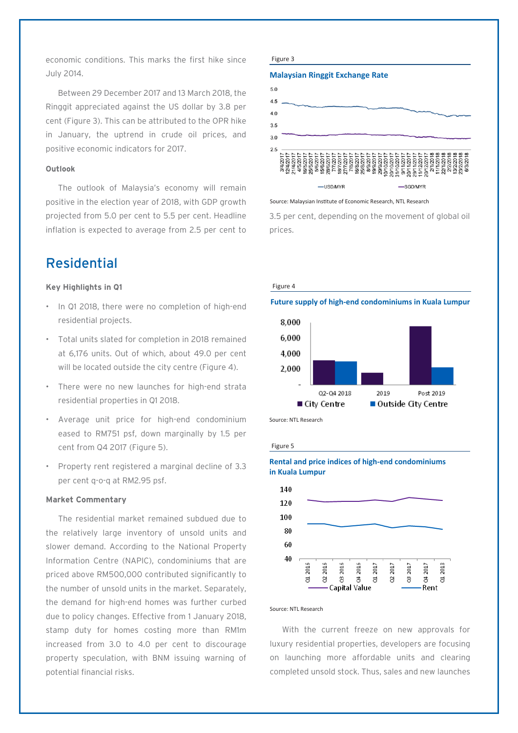economic conditions. This marks the first hike since July 2014.

Between 29 December 2017 and 13 March 2018, the Ringgit appreciated against the US dollar by 3.8 per cent (Figure 3). This can be attributed to the OPR hike in January, the uptrend in crude oil prices, and positive economic indicators for 2017.

# **Outlook**

The outlook of Malaysia's economy will remain positive in the election year of 2018, with GDP growth projected from 5.0 per cent to 5.5 per cent. Headline inflation is expected to average from 2.5 per cent to

# Residential

## **Key Highlights in Q1**

- In Q1 2018, there were no completion of high-end residential projects.
- Total units slated for completion in 2018 remained at 6,176 units. Out of which, about 49.0 per cent will be located outside the city centre (Figure 4).
- There were no new launches for high-end strata residential properties in Q1 2018.
- Average unit price for high-end condominium eased to RM751 psf, down marginally by 1.5 per cent from Q4 2017 (Figure 5).
- Property rent registered a marginal decline of 3.3 per cent q-o-q at RM2.95 psf.

# **Market Commentary**

The residential market remained subdued due to the relatively large inventory of unsold units and slower demand. According to the National Property Information Centre (NAPIC), condominiums that are priced above RM500,000 contributed significantly to the number of unsold units in the market. Separately, the demand for high-end homes was further curbed due to policy changes. Effective from 1 January 2018, stamp duty for homes costing more than RM1m increased from 3.0 to 4.0 per cent to discourage property speculation, with BNM issuing warning of potential financial risks.

#### Figure 3

## **Malaysian Ringgit Exchange Rate**



Source: Malaysian Institute of Economic Research, NTL Research

3.5 per cent, depending on the movement of global oil prices.

!<br>!



## **Future supply of high-end condominiums in Kuala Lumpur**



Source: NTL Research

Figure 5

# **Rental and price indices of high-end condominiums in Kuala Lumpur**



#### Source: NTL Research

With the current freeze on new approvals for luxury residential properties, developers are focusing on launching more affordable units and clearing completed unsold stock. Thus, sales and new launches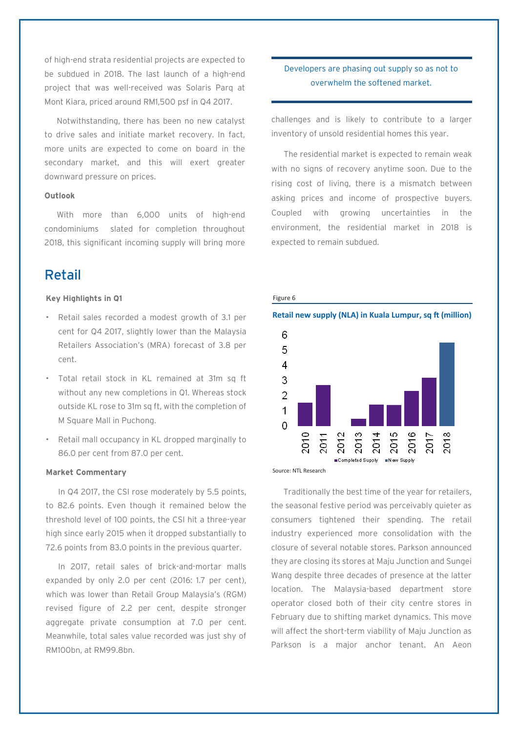of high-end strata residential projects are expected to be subdued in 2018. The last launch of a high-end project that was well-received was Solaris Parq at Mont Kiara, priced around RM1,500 psf in Q4 2017.

Notwithstanding, there has been no new catalyst to drive sales and initiate market recovery. In fact, more units are expected to come on board in the secondary market, and this will exert greater downward pressure on prices.

# **Outlook**

With more than 6,000 units of high-end condominiums slated for completion throughout 2018, this significant incoming supply will bring more

# Retail

# **Key Highlights in Q1**

- Retail sales recorded a modest growth of 3.1 per cent for Q4 2017, slightly lower than the Malaysia Retailers Association's (MRA) forecast of 3.8 per cent.
- Total retail stock in KL remained at 31m sq ft without any new completions in Q1. Whereas stock outside KL rose to 31m sq ft, with the completion of M Square Mall in Puchong.
- Retail mall occupancy in KL dropped marginally to 86.0 per cent from 87.0 per cent.

# **Market Commentary**

In Q4 2017, the CSI rose moderately by 5.5 points, to 82.6 points. Even though it remained below the threshold level of 100 points, the CSI hit a three-year high since early 2015 when it dropped substantially to 72.6 points from 83.0 points in the previous quarter.

In 2017, retail sales of brick-and-mortar malls expanded by only 2.0 per cent (2016: 1.7 per cent), which was lower than Retail Group Malaysia's (RGM) revised figure of 2.2 per cent, despite stronger aggregate private consumption at 7.0 per cent. Meanwhile, total sales value recorded was just shy of RM100bn, at RM99.8bn.

# Developers are phasing out supply so as not to overwhelm the softened market.

challenges and is likely to contribute to a larger inventory of unsold residential homes this year.

The residential market is expected to remain weak with no signs of recovery anytime soon. Due to the rising cost of living, there is a mismatch between asking prices and income of prospective buyers. Coupled with growing uncertainties in the environment, the residential market in 2018 is expected to remain subdued.



# Figure 6

**Retail new supply (NLA) in Kuala Lumpur, sq ft (million)**

Source: NTL Research

Traditionally the best time of the year for retailers, the seasonal festive period was perceivably quieter as consumers tightened their spending. The retail industry experienced more consolidation with the closure of several notable stores. Parkson announced they are closing its stores at Maju Junction and Sungei Wang despite three decades of presence at the latter location. The Malaysia-based department store operator closed both of their city centre stores in February due to shifting market dynamics. This move will affect the short-term viability of Maju Junction as Parkson is a major anchor tenant. An Aeon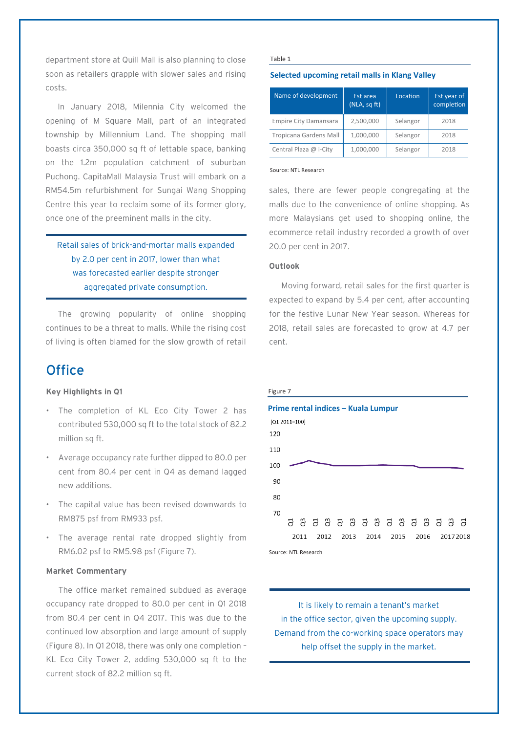department store at Quill Mall is also planning to close soon as retailers grapple with slower sales and rising costs.

In January 2018, Milennia City welcomed the opening of M Square Mall, part of an integrated township by Millennium Land. The shopping mall boasts circa 350,000 sq ft of lettable space, banking on the 1.2m population catchment of suburban Puchong. CapitaMall Malaysia Trust will embark on a RM54.5m refurbishment for Sungai Wang Shopping Centre this year to reclaim some of its former glory, once one of the preeminent malls in the city.

Retail sales of brick-and-mortar malls expanded by 2.0 per cent in 2017, lower than what was forecasted earlier despite stronger aggregated private consumption.

The growing popularity of online shopping continues to be a threat to malls. While the rising cost of living is often blamed for the slow growth of retail

# **Office**

# **Key Highlights in Q1**

- The completion of KL Eco City Tower 2 has contributed 530,000 sq ft to the total stock of 82.2 million sa ft.
- Average occupancy rate further dipped to 80.0 per cent from 80.4 per cent in Q4 as demand lagged new additions.
- The capital value has been revised downwards to RM875 psf from RM933 psf.
- The average rental rate dropped slightly from RM6.02 psf to RM5.98 psf (Figure 7).

# **Market Commentary**

The office market remained subdued as average occupancy rate dropped to 80.0 per cent in Q1 2018 from 80.4 per cent in Q4 2017. This was due to the continued low absorption and large amount of supply (Figure 8). In Q1 2018, there was only one completion – KL Eco City Tower 2, adding 530,000 sq ft to the current stock of 82.2 million sq ft.

#### Table 1

## **Selected upcoming retail malls in Klang Valley**

| Name of development           | Est area<br>(NLA, sq ft) | Location | Est year of<br>completion |
|-------------------------------|--------------------------|----------|---------------------------|
| <b>Empire City Damansara</b>  | 2,500,000                | Selangor | 2018                      |
| <b>Tropicana Gardens Mall</b> | 1,000,000                | Selangor | 2018                      |
| Central Plaza @ i-City        | 1,000,000                | Selangor | 2018                      |

#### Source: NTL Research

sales, there are fewer people congregating at the malls due to the convenience of online shopping. As more Malaysians get used to shopping online, the ecommerce retail industry recorded a growth of over 20.0 per cent in 2017.

# **Outlook**

Moving forward, retail sales for the first quarter is expected to expand by 5.4 per cent, after accounting for the festive Lunar New Year season. Whereas for 2018, retail sales are forecasted to grow at 4.7 per cent.



It is likely to remain a tenant's market in the office sector, given the upcoming supply. Demand from the co-working space operators may help offset the supply in the market.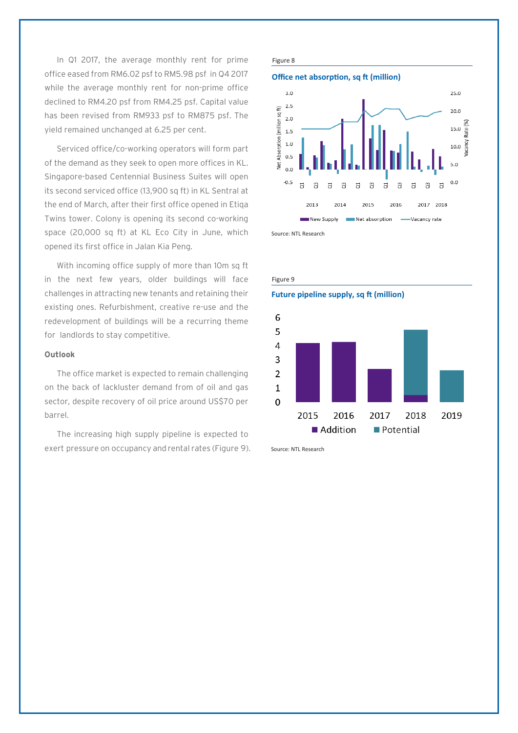In Q1 2017, the average monthly rent for prime office eased from RM6.02 psf to RM5.98 psf in Q4 2017 while the average monthly rent for non-prime office declined to RM4.20 psf from RM4.25 psf. Capital value has been revised from RM933 psf to RM875 psf. The yield remained unchanged at 6.25 per cent.

Serviced office/co-working operators will form part of the demand as they seek to open more offices in KL. Singapore-based Centennial Business Suites will open its second serviced office (13,900 sq ft) in KL Sentral at the end of March, after their first office opened in Etiqa Twins tower. Colony is opening its second co-working space (20,000 sq ft) at KL Eco City in June, which opened its first office in Jalan Kia Peng.

With incoming office supply of more than 10m sq ft in the next few years, older buildings will face challenges in attracting new tenants and retaining their existing ones. Refurbishment, creative re-use and the redevelopment of buildings will be a recurring theme for landlords to stay competitive.

## **Outlook**

The office market is expected to remain challenging on the back of lackluster demand from of oil and gas sector, despite recovery of oil price around US\$70 per barrel.

The increasing high supply pipeline is expected to exert pressure on occupancy and rental rates (Figure 9).

# Figure 8







Source: NTL Research